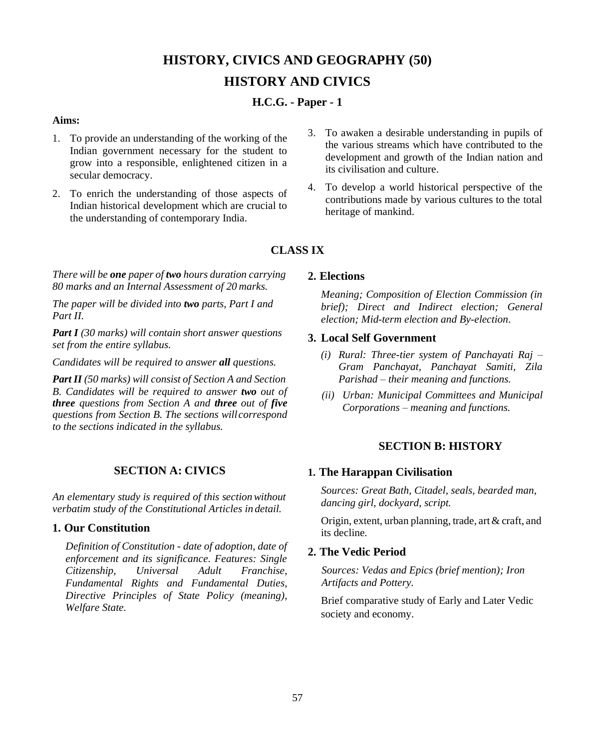# **HISTORY, CIVICS AND GEOGRAPHY (50) HISTORY AND CIVICS**

# **H.C.G. - Paper - 1**

### **Aims:**

- 1. To provide an understanding of the working of the Indian government necessary for the student to grow into a responsible, enlightened citizen in a secular democracy.
- 2. To enrich the understanding of those aspects of Indian historical development which are crucial to the understanding of contemporary India.
- 3. To awaken a desirable understanding in pupils of the various streams which have contributed to the development and growth of the Indian nation and its civilisation and culture.
- 4. To develop a world historical perspective of the contributions made by various cultures to the total heritage of mankind.

# **CLASS IX**

*There will be one paper of two hours duration carrying 80 marks and an Internal Assessment of 20 marks.*

*The paper will be divided into two parts, Part I and Part II.*

*Part I (30 marks) will contain short answer questions set from the entire syllabus.*

*Candidates will be required to answer all questions.*

*Part II (50 marks) will consist of Section A and Section B. Candidates will be required to answer two out of three questions from Section A and three out of five questions from Section B. The sections willcorrespond to the sections indicated in the syllabus.*

# **SECTION A: CIVICS**

*An elementary study is required of this sectionwithout verbatim study of the Constitutional Articles in detail.*

### **1. Our Constitution**

*Definition of Constitution - date of adoption, date of enforcement and its significance. Features: Single Citizenship, Universal Adult Franchise, Fundamental Rights and Fundamental Duties, Directive Principles of State Policy (meaning), Welfare State.*

# **2. Elections**

*Meaning; Composition of Election Commission (in brief); Direct and Indirect election; General election; Mid-term election and By-election*.

### **3. Local Self Government**

- *(i) Rural: Three-tier system of Panchayati Raj – Gram Panchayat, Panchayat Samiti, Zila Parishad – their meaning and functions.*
- *(ii) Urban: Municipal Committees and Municipal Corporations – meaning and functions.*

# **SECTION B: HISTORY**

# **1. The Harappan Civilisation**

*Sources: Great Bath, Citadel, seals, bearded man, dancing girl, dockyard, script.*

Origin, extent, urban planning, trade, art& craft, and its decline*.*

# **2. The Vedic Period**

*Sources: Vedas and Epics (brief mention); Iron Artifacts and Pottery.*

Brief comparative study of Early and Later Vedic society and economy.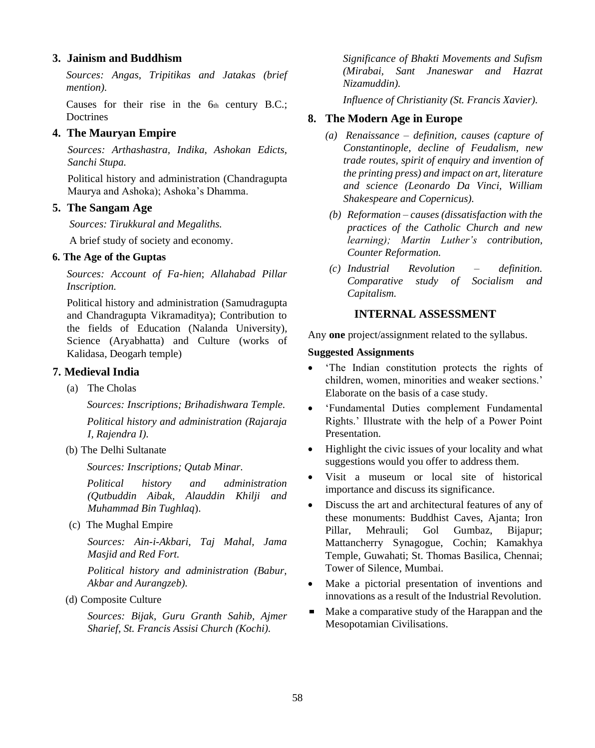# **3. Jainism and Buddhism**

*Sources: Angas, Tripitikas and Jatakas (brief mention).*

Causes for their rise in the  $6<sub>th</sub>$  century B.C.; **Doctrines** 

# **4. The Mauryan Empire**

*Sources: Arthashastra, Indika, Ashokan Edicts, Sanchi Stupa.*

Political history and administration (Chandragupta Maurya and Ashoka); Ashoka's Dhamma.

### **5. The Sangam Age**

*Sources: Tirukkural and Megaliths.*

A brief study of society and economy.

### **6. The Age of the Guptas**

*Sources: Account of Fa-hien*; *Allahabad Pillar Inscription.*

Political history and administration (Samudragupta and Chandragupta Vikramaditya); Contribution to the fields of Education (Nalanda University), Science (Aryabhatta) and Culture (works of Kalidasa, Deogarh temple)

#### **7. Medieval India**

(a) The Cholas

*Sources: Inscriptions; Brihadishwara Temple.*

*Political history and administration (Rajaraja I, Rajendra I).*

(b) The Delhi Sultanate

*Sources: Inscriptions; Qutab Minar.*

*Political history and administration (Qutbuddin Aibak, Alauddin Khilji and Muhammad Bin Tughlaq*).

(c) The Mughal Empire

*Sources: Ain-i-Akbari, Taj Mahal, Jama Masjid and Red Fort.*

*Political history and administration (Babur, Akbar and Aurangzeb).*

(d) Composite Culture

*Sources: Bijak, Guru Granth Sahib, Ajmer Sharief, St. Francis Assisi Church (Kochi).*

*Significance of Bhakti Movements and Sufism (Mirabai, Sant Jnaneswar and Hazrat Nizamuddin).*

*Influence of Christianity (St. Francis Xavier).*

## **8. The Modern Age in Europe**

- *(a) Renaissance – definition, causes (capture of Constantinople, decline of Feudalism, new trade routes, spirit of enquiry and invention of the printing press) and impact on art, literature and science (Leonardo Da Vinci, William Shakespeare and Copernicus).*
- *(b) Reformation – causes (dissatisfaction with the practices of the Catholic Church and new learning); Martin Luther's contribution, Counter Reformation.*
- *(c) Industrial Revolution – definition. Comparative study of Socialism and Capitalism.*

### **INTERNAL ASSESSMENT**

Any **one** project/assignment related to the syllabus.

#### **Suggested Assignments**

- 'The Indian constitution protects the rights of children, women, minorities and weaker sections.' Elaborate on the basis of a case study.
- 'Fundamental Duties complement Fundamental Rights.' Illustrate with the help of a Power Point Presentation.
- Highlight the civic issues of your locality and what suggestions would you offer to address them.
- Visit a museum or local site of historical importance and discuss its significance.
- Discuss the art and architectural features of any of these monuments: Buddhist Caves, Ajanta; Iron Pillar, Mehrauli; Gol Gumbaz, Bijapur; Mattancherry Synagogue, Cochin; Kamakhya Temple, Guwahati; St. Thomas Basilica, Chennai; Tower of Silence, Mumbai.
- Make a pictorial presentation of inventions and innovations as a result of the Industrial Revolution.
- Make a comparative study of the Harappan and the Mesopotamian Civilisations.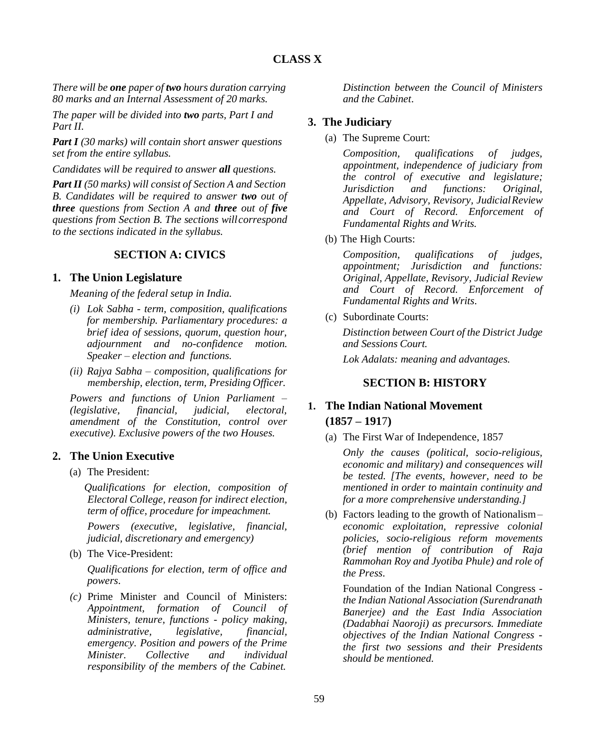# **CLASS X**

*There will be one paper of two hours duration carrying 80 marks and an Internal Assessment of 20 marks.*

*The paper will be divided into two parts, Part I and Part II.*

*Part I (30 marks) will contain short answer questions set from the entire syllabus.*

*Candidates will be required to answer all questions.*

*Part II (50 marks) will consist of Section A and Section B. Candidates will be required to answer two out of three questions from Section A and three out of five questions from Section B. The sections willcorrespond to the sections indicated in the syllabus.*

# **SECTION A: CIVICS**

### **1. The Union Legislature**

*Meaning of the federal setup in India.*

- *(i) Lok Sabha - term, composition, qualifications for membership. Parliamentary procedures: a brief idea of sessions, quorum, question hour, adjournment and no-confidence motion. Speaker – election and functions.*
- *(ii) Rajya Sabha – composition, qualifications for membership, election, term, Presiding Officer.*

*Powers and functions of Union Parliament – (legislative, financial, judicial, electoral, amendment of the Constitution, control over executive). Exclusive powers of the two Houses.*

#### **2. The Union Executive**

(a) The President:

*Qualifications for election, composition of Electoral College, reason for indirect election, term of office, procedure for impeachment.*

*Powers (executive, legislative, financial, judicial, discretionary and emergency)*

(b) The Vice-President:

*Qualifications for election, term of office and powers*.

*(c)* Prime Minister and Council of Ministers: *Appointment, formation of Council of Ministers, tenure, functions - policy making, administrative, legislative, financial, emergency. Position and powers of the Prime Minister. Collective and individual responsibility of the members of the Cabinet.*

*Distinction between the Council of Ministers and the Cabinet*.

### **3. The Judiciary**

(a) The Supreme Court:

*Composition, qualifications of judges, appointment, independence of judiciary from the control of executive and legislature; Jurisdiction and functions: Original, Appellate, Advisory, Revisory, JudicialReview and Court of Record. Enforcement of Fundamental Rights and Writs.*

(b) The High Courts:

*Composition, qualifications of judges, appointment; Jurisdiction and functions: Original, Appellate, Revisory, Judicial Review and Court of Record. Enforcement of Fundamental Rights and Writs*.

(c) Subordinate Courts:

*Distinction between Court of the District Judge and Sessions Court.*

*Lok Adalats: meaning and advantages.*

# **SECTION B: HISTORY**

# **1. The Indian National Movement (1857 – 191**7**)**

(a) The First War of Independence, 1857

*Only the causes (political, socio-religious, economic and military) and consequences will be tested. [The events, however, need to be mentioned in order to maintain continuity and for a more comprehensive understanding.]*

(b) Factors leading to the growth of Nationalism– *economic exploitation, repressive colonial policies, socio-religious reform movements (brief mention of contribution of Raja Rammohan Roy and Jyotiba Phule) and role of the Press*.

Foundation of the Indian National Congress  *the Indian National Association (Surendranath Banerjee) and the East India Association (Dadabhai Naoroji) as precursors. Immediate objectives of the Indian National Congress the first two sessions and their Presidents should be mentioned.*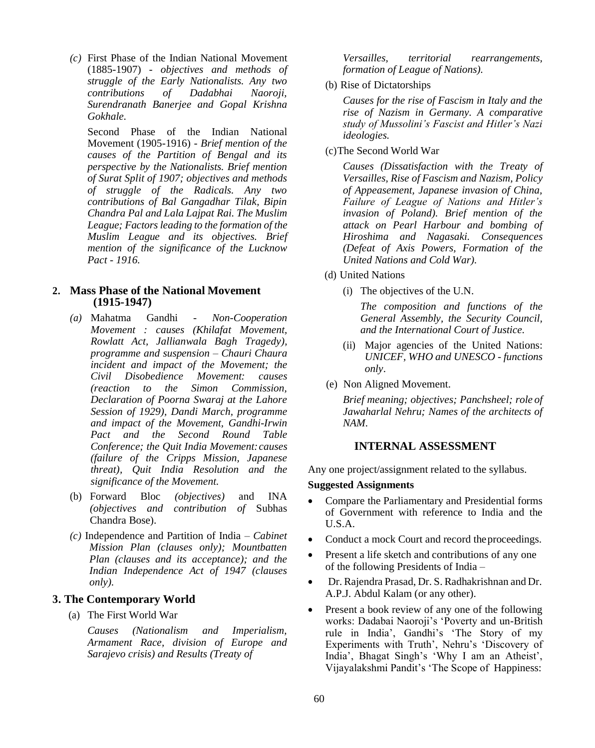*(c)* First Phase of the Indian National Movement (1885-1907) - *objectives and methods of struggle of the Early Nationalists. Any two contributions of Dadabhai Naoroji, Surendranath Banerjee and Gopal Krishna Gokhale.*

Second Phase of the Indian National Movement (1905-1916) - *Brief mention of the causes of the Partition of Bengal and its perspective by the Nationalists. Brief mention of Surat Split of 1907; objectives and methods of struggle of the Radicals. Any two contributions of Bal Gangadhar Tilak, Bipin Chandra Pal and Lala Lajpat Rai. The Muslim League; Factors leading to the formation of the Muslim League and its objectives. Brief mention of the significance of the Lucknow Pact - 1916.*

### **2. Mass Phase of the National Movement (1915-1947)**

- *(a)* Mahatma Gandhi *Non-Cooperation Movement : causes (Khilafat Movement, Rowlatt Act, Jallianwala Bagh Tragedy), programme and suspension – Chauri Chaura incident and impact of the Movement; the Civil Disobedience Movement: causes (reaction to the Simon Commission, Declaration of Poorna Swaraj at the Lahore Session of 1929), Dandi March, programme and impact of the Movement, Gandhi-Irwin Pact and the Second Round Table Conference; the Quit India Movement:causes (failure of the Cripps Mission, Japanese threat), Quit India Resolution and the significance of the Movement.*
- (b) Forward Bloc *(objectives)* and INA *(objectives and contribution of* Subhas Chandra Bose).
- *(c)* Independence and Partition of India *Cabinet Mission Plan (clauses only); Mountbatten Plan (clauses and its acceptance); and the Indian Independence Act of 1947 (clauses only).*

### **3. The Contemporary World**

(a) The First World War

*Causes (Nationalism and Imperialism, Armament Race, division of Europe and Sarajevo crisis) and Results (Treaty of*

*Versailles, territorial rearrangements, formation of League of Nations).*

(b) Rise of Dictatorships

*Causes for the rise of Fascism in Italy and the rise of Nazism in Germany. A comparative study of Mussolini's Fascist and Hitler's Nazi ideologies.*

(c)The Second World War

*Causes (Dissatisfaction with the Treaty of Versailles, Rise of Fascism and Nazism, Policy of Appeasement, Japanese invasion of China, Failure of League of Nations and Hitler's invasion of Poland). Brief mention of the attack on Pearl Harbour and bombing of Hiroshima and Nagasaki. Consequences (Defeat of Axis Powers, Formation of the United Nations and Cold War).*

- (d) United Nations
	- (i) The objectives of the U.N.

*The composition and functions of the General Assembly, the Security Council, and the International Court of Justice.*

- (ii) Major agencies of the United Nations: *UNICEF, WHO and UNESCO - functions only*.
- (e) Non Aligned Movement.

*Brief meaning; objectives; Panchsheel; role of Jawaharlal Nehru; Names of the architects of NAM.*

# **INTERNAL ASSESSMENT**

Any one project/assignment related to the syllabus.

# **Suggested Assignments**

- Compare the Parliamentary and Presidential forms of Government with reference to India and the U.S.A.
- Conduct a mock Court and record the proceedings.
- Present a life sketch and contributions of any one of the following Presidents of India –
- Dr. Rajendra Prasad, Dr. S. Radhakrishnan and Dr. A.P.J. Abdul Kalam (or any other).
- Present a book review of any one of the following works: Dadabai Naoroji's 'Poverty and un-British rule in India', Gandhi's 'The Story of my Experiments with Truth', Nehru's 'Discovery of India', Bhagat Singh's 'Why I am an Atheist', Vijayalakshmi Pandit's 'The Scope of Happiness: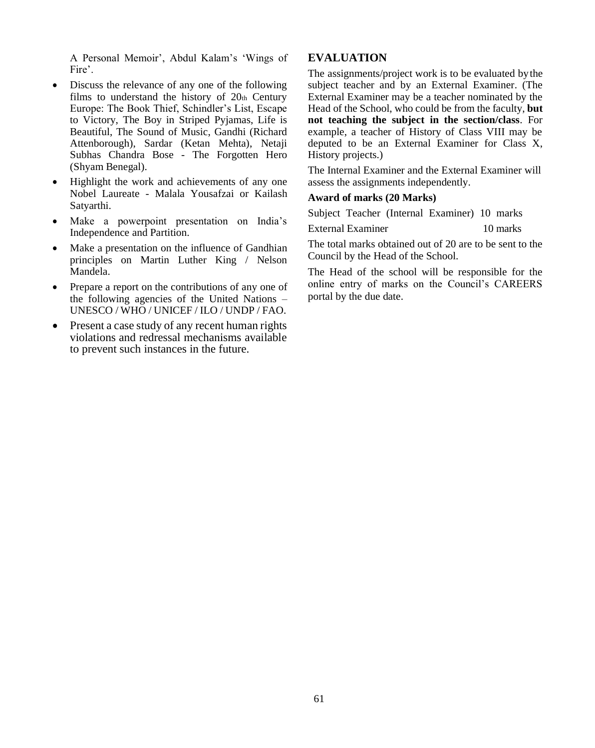A Personal Memoir', Abdul Kalam's 'Wings of Fire'.

- Discuss the relevance of any one of the following films to understand the history of  $20<sub>th</sub>$  Century Europe: The Book Thief, Schindler's List, Escape to Victory, The Boy in Striped Pyjamas, Life is Beautiful, The Sound of Music, Gandhi (Richard Attenborough), Sardar (Ketan Mehta), Netaji Subhas Chandra Bose - The Forgotten Hero (Shyam Benegal).
- Highlight the work and achievements of any one Nobel Laureate - Malala Yousafzai or Kailash Satyarthi.
- Make a powerpoint presentation on India's Independence and Partition.
- Make a presentation on the influence of Gandhian principles on Martin Luther King / Nelson Mandela.
- Prepare a report on the contributions of any one of the following agencies of the United Nations – UNESCO / WHO / UNICEF / ILO / UNDP / FAO.
- Present a case study of any recent human rights violations and redressal mechanisms available to prevent such instances in the future.

# **EVALUATION**

The assignments/project work is to be evaluated bythe subject teacher and by an External Examiner. (The External Examiner may be a teacher nominated by the Head of the School, who could be from the faculty, **but not teaching the subject in the section/class**. For example, a teacher of History of Class VIII may be deputed to be an External Examiner for Class X, History projects.)

The Internal Examiner and the External Examiner will assess the assignments independently.

### **Award of marks (20 Marks)**

Subject Teacher (Internal Examiner) 10 marks

External Examiner 10 marks

The total marks obtained out of 20 are to be sent to the Council by the Head of the School.

The Head of the school will be responsible for the online entry of marks on the Council's CAREERS portal by the due date.